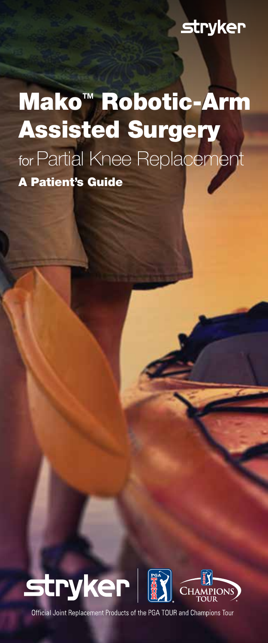### **stryker**

# Mako<sup>™</sup> Robotic-Arm Assisted Surgery for Partial Knee Replacement A Patient's Guide



Official Joint Replacement Products of the PGA TOUR and Champions Tour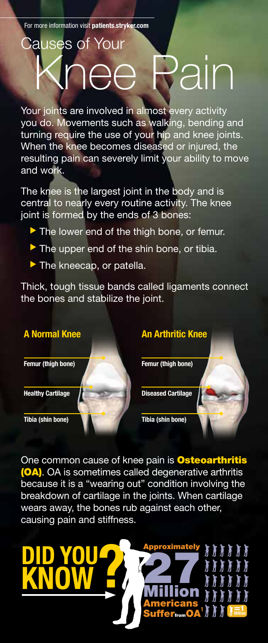# auses of Your Knee Pain

Your joints are involved in almost every activity you do. Movements such as walking, bending and turning require the use of your hip and knee joints. When the knee becomes diseased or injured, the resulting pain can severely limit your ability to move and work.

The knee is the largest joint in the body and is central to nearly every routine activity. The knee joint is formed by the ends of 3 bones:

- The lower end of the thigh bone, or femur.
- $\blacktriangleright$  The upper end of the shin bone, or tibia.
- $\blacktriangleright$  The kneecap, or patella.

Thick, tough tissue bands called ligaments connect the bones and stabilize the joint.



One common cause of knee pain is **Osteoarthritis** (OA). OA is sometimes called degenerative arthritis because it is a "wearing out" condition involving the breakdown of cartilage in the joints. When cartilage wears away, the bones rub against each other, causing pain and stiffness.

roximately

**27** 

Million Americans

SufferfromOA =1 Million <sup>1</sup>

**TITTI** 

¥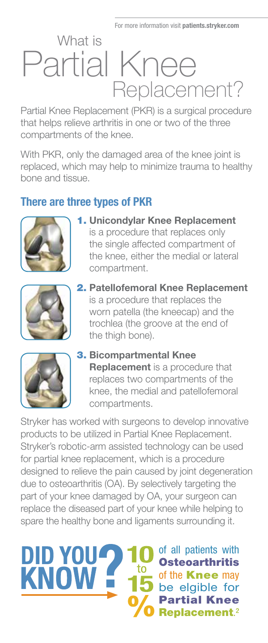## What is Partial Knee Replacement?

Partial Knee Replacement (PKR) is a surgical procedure that helps relieve arthritis in one or two of the three compartments of the knee.

With PKR, only the damaged area of the knee joint is replaced, which may help to minimize trauma to healthy bone and tissue.

#### There are three types of PKR



1. Unicondylar Knee Replacement is a procedure that replaces only the single affected compartment of the knee, either the medial or lateral compartment.



2. Patellofemoral Knee Replacement is a procedure that replaces the worn patella (the kneecap) and the trochlea (the groove at the end of the thigh bone).



DID YOU

KNOW **E** 

3. Bicompartmental Knee **Replacement** is a procedure that replaces two compartments of the knee, the medial and patellofemoral compartments.

Stryker has worked with surgeons to develop innovative products to be utilized in Partial Knee Replacement. Stryker's robotic-arm assisted technology can be used for partial knee replacement, which is a procedure designed to relieve the pain caused by joint degeneration due to osteoarthritis (OA). By selectively targeting the part of your knee damaged by OA, your surgeon can replace the diseased part of your knee while helping to spare the healthy bone and ligaments surrounding it.

> of all patients with **Osteoarthritis** of the **Knee** may be elgible for Partial Knee Replacement.²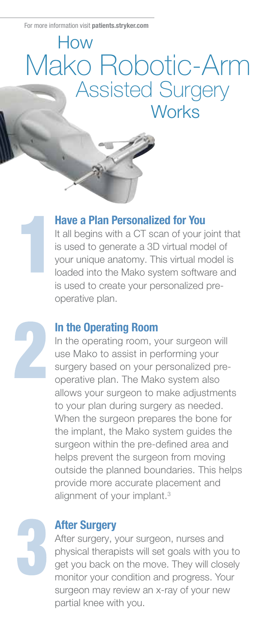### How Mako Robotic-Arm Assisted Surgery **Works**

#### Have a Plan Personalized for You

It all begins with a CT scan of your joint that is used to generate a 3D virtual model of your unique anatomy. This virtual model is loaded into the Mako system software and is used to create your personalized preoperative plan.

#### In the Operating Room

In the operating room, your surgeon will use Mako to assist in performing your surgery based on your personalized preoperative plan. The Mako system also allows your surgeon to make adjustments to your plan during surgery as needed. When the surgeon prepares the bone for the implant, the Mako system guides the surgeon within the pre-defined area and helps prevent the surgeon from moving outside the planned boundaries. This helps provide more accurate placement and alignment of your implant.<sup>3</sup>

#### After Surgery

After surgery, your surgeon, nurses and physical therapists will set goals with you to get you back on the move. They will closely monitor your condition and progress. Your surgeon may review an x-ray of your new partial knee with you.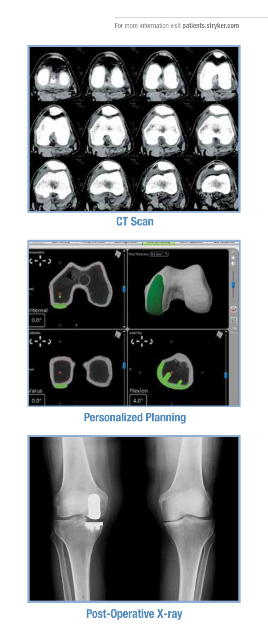

CT Scan



Personalized Planning



Post-Operative X-ray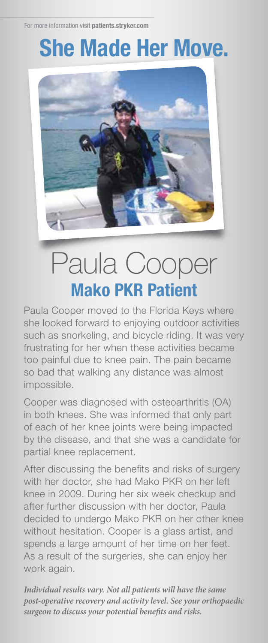### She Made Her Move.



# Paula Cooper Mako PKR Patient

Paula Cooper moved to the Florida Keys where she looked forward to enjoying outdoor activities such as snorkeling, and bicycle riding. It was very frustrating for her when these activities became too painful due to knee pain. The pain became so bad that walking any distance was almost impossible.

Cooper was diagnosed with osteoarthritis (OA) in both knees. She was informed that only part of each of her knee joints were being impacted by the disease, and that she was a candidate for partial knee replacement.

After discussing the benefits and risks of surgery with her doctor, she had Mako PKR on her left knee in 2009. During her six week checkup and after further discussion with her doctor, Paula decided to undergo Mako PKR on her other knee without hesitation. Cooper is a glass artist, and spends a large amount of her time on her feet. As a result of the surgeries, she can enjoy her work again.

*Individual results vary. Not all patients will have the same post-operative recovery and activity level. See your orthopaedic surgeon to discuss your potential benefits and risks.*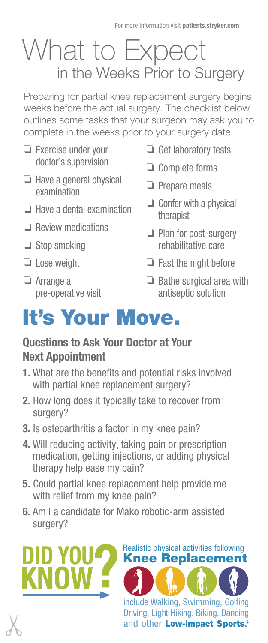### What to Expect in the Weeks Prior to Surgery

Preparing for partial knee replacement surgery begins weeks before the actual surgery. The checklist below outlines some tasks that your surgeon may ask you to complete in the weeks prior to your surgery date.

- $\Box$  Exercise under your doctor's supervision
- $\Box$  Have a general physical examination
- ❏ Have a dental examination
- ❏ Review medications
- $\Box$  Stop smoking
- ❏ Lose weight
- ❏ Arrange a pre-operative visit

DID YOU

- $\Box$  Get laboratory tests
- ❏ Complete forms
- $\Box$  Prepare meals
- $\Box$  Confer with a physical therapist
- $\Box$  Plan for post-surgery rehabilitative care
- $\Box$  Fast the night before

include Walking, Swimming, Golfing Driving, Light Hiking, Biking, Dancing and other Low-impact Sports.<sup>4</sup>

Realistic physical activities following Knee Replacement

 $\Box$  Bathe surgical area with antiseptic solution

### It's Your Move.

#### Questions to Ask Your Doctor at Your Next Appointment

- 1. What are the benefits and potential risks involved with partial knee replacement surgery?
- 2. How long does it typically take to recover from surgery?
- 3. Is osteoarthritis a factor in my knee pain?
- 4. Will reducing activity, taking pain or prescription medication, getting injections, or adding physical therapy help ease my pain?
- 5. Could partial knee replacement help provide me with relief from my knee pain?
- 6. Am I a candidate for Mako robotic-arm assisted surgery?